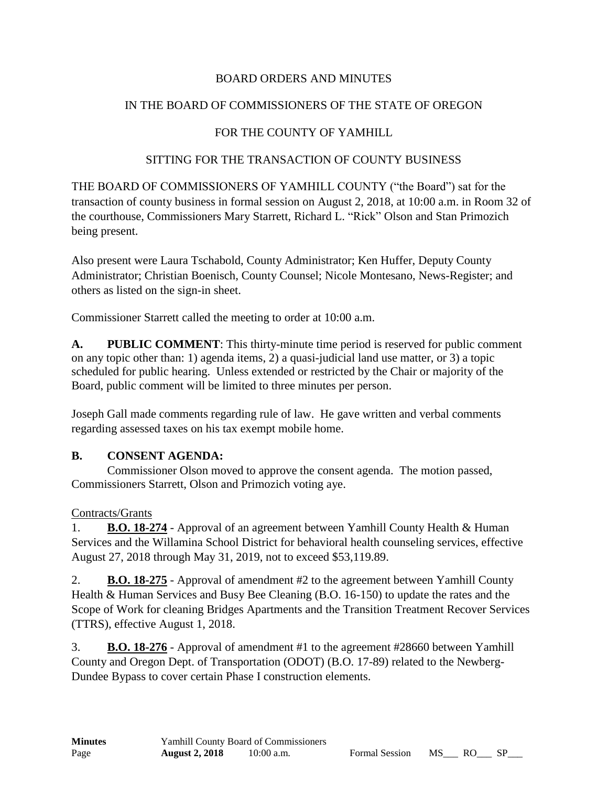# BOARD ORDERS AND MINUTES

# IN THE BOARD OF COMMISSIONERS OF THE STATE OF OREGON

# FOR THE COUNTY OF YAMHILL

### SITTING FOR THE TRANSACTION OF COUNTY BUSINESS

THE BOARD OF COMMISSIONERS OF YAMHILL COUNTY ("the Board") sat for the transaction of county business in formal session on August 2, 2018, at 10:00 a.m. in Room 32 of the courthouse, Commissioners Mary Starrett, Richard L. "Rick" Olson and Stan Primozich being present.

Also present were Laura Tschabold, County Administrator; Ken Huffer, Deputy County Administrator; Christian Boenisch, County Counsel; Nicole Montesano, News-Register; and others as listed on the sign-in sheet.

Commissioner Starrett called the meeting to order at 10:00 a.m.

**A. PUBLIC COMMENT**: This thirty-minute time period is reserved for public comment on any topic other than: 1) agenda items, 2) a quasi-judicial land use matter, or 3) a topic scheduled for public hearing. Unless extended or restricted by the Chair or majority of the Board, public comment will be limited to three minutes per person.

Joseph Gall made comments regarding rule of law. He gave written and verbal comments regarding assessed taxes on his tax exempt mobile home.

# **B. CONSENT AGENDA:**

Commissioner Olson moved to approve the consent agenda. The motion passed, Commissioners Starrett, Olson and Primozich voting aye.

# Contracts/Grants

1. **B.O. 18-274** - Approval of an agreement between Yamhill County Health & Human Services and the Willamina School District for behavioral health counseling services, effective August 27, 2018 through May 31, 2019, not to exceed \$53,119.89.

2. **B.O. 18-275** - Approval of amendment #2 to the agreement between Yamhill County Health & Human Services and Busy Bee Cleaning (B.O. 16-150) to update the rates and the Scope of Work for cleaning Bridges Apartments and the Transition Treatment Recover Services (TTRS), effective August 1, 2018.

3. **B.O. 18-276** - Approval of amendment #1 to the agreement #28660 between Yamhill County and Oregon Dept. of Transportation (ODOT) (B.O. 17-89) related to the Newberg-Dundee Bypass to cover certain Phase I construction elements.